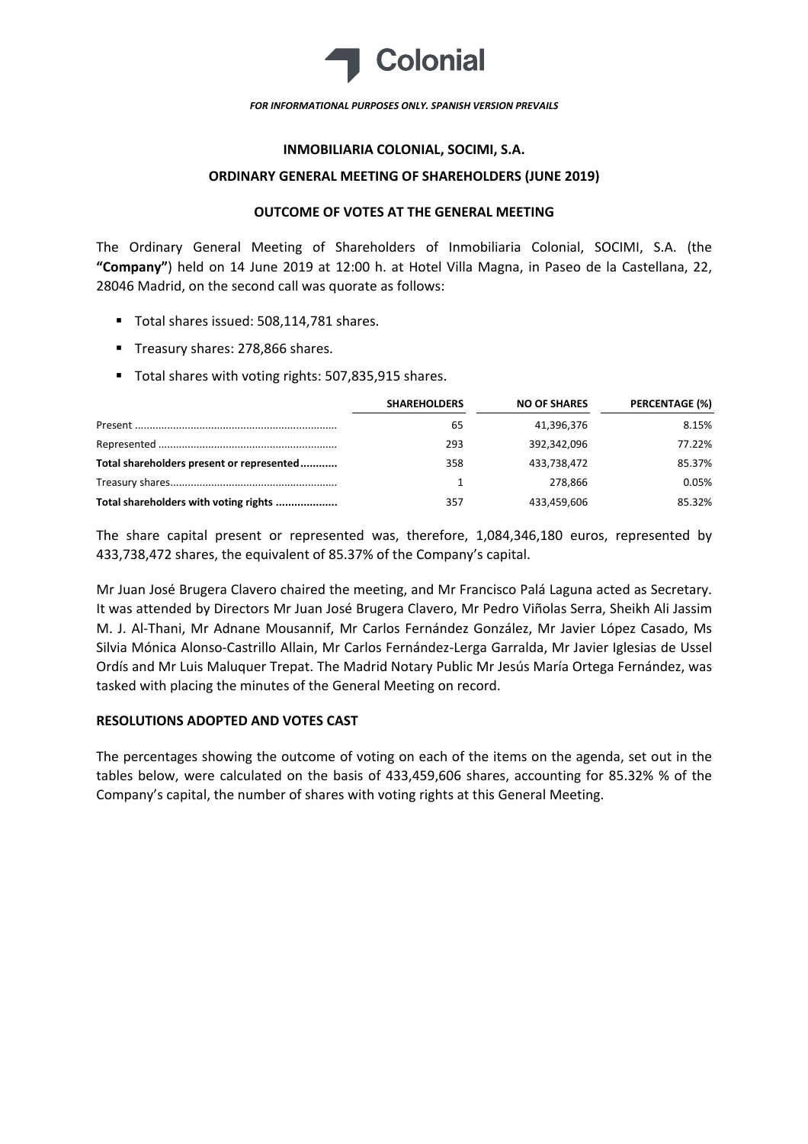

#### *FOR INFORMATIONAL PURPOSES ONLY. SPANISH VERSION PREVAILS*

## **INMOBILIARIA COLONIAL, SOCIMI, S.A.**

### **ORDINARY GENERAL MEETING OF SHAREHOLDERS (JUNE 2019)**

# **OUTCOME OF VOTES AT THE GENERAL MEETING**

The Ordinary General Meeting of Shareholders of Inmobiliaria Colonial, SOCIMI, S.A. (the **"Company"**) held on 14 June 2019 at 12:00 h. at Hotel Villa Magna, in Paseo de la Castellana, 22, 28046 Madrid, on the second call was quorate as follows:

- Total shares issued: 508,114,781 shares.
- Treasury shares: 278,866 shares.
- Total shares with voting rights: 507,835,915 shares.

|                                           | <b>SHAREHOLDERS</b> | <b>NO OF SHARES</b> | PERCENTAGE (%) |
|-------------------------------------------|---------------------|---------------------|----------------|
|                                           | 65                  | 41,396,376          | 8.15%          |
|                                           | 293                 | 392.342.096         | 77.22%         |
| Total shareholders present or represented | 358                 | 433.738.472         | 85.37%         |
|                                           |                     | 278.866             | 0.05%          |
| Total shareholders with voting rights     | 357                 | 433,459,606         | 85.32%         |

The share capital present or represented was, therefore, 1,084,346,180 euros, represented by 433,738,472 shares, the equivalent of 85.37% of the Company's capital.

Mr Juan José Brugera Clavero chaired the meeting, and Mr Francisco Palá Laguna acted as Secretary. It was attended by Directors Mr Juan José Brugera Clavero, Mr Pedro Viñolas Serra, Sheikh Ali Jassim M. J. Al‐Thani, Mr Adnane Mousannif, Mr Carlos Fernández González, Mr Javier López Casado, Ms Silvia Mónica Alonso‐Castrillo Allain, Mr Carlos Fernández‐Lerga Garralda, Mr Javier Iglesias de Ussel Ordís and Mr Luis Maluquer Trepat. The Madrid Notary Public Mr Jesús María Ortega Fernández, was tasked with placing the minutes of the General Meeting on record.

# **RESOLUTIONS ADOPTED AND VOTES CAST**

The percentages showing the outcome of voting on each of the items on the agenda, set out in the tables below, were calculated on the basis of 433,459,606 shares, accounting for 85.32% % of the Company's capital, the number of shares with voting rights at this General Meeting.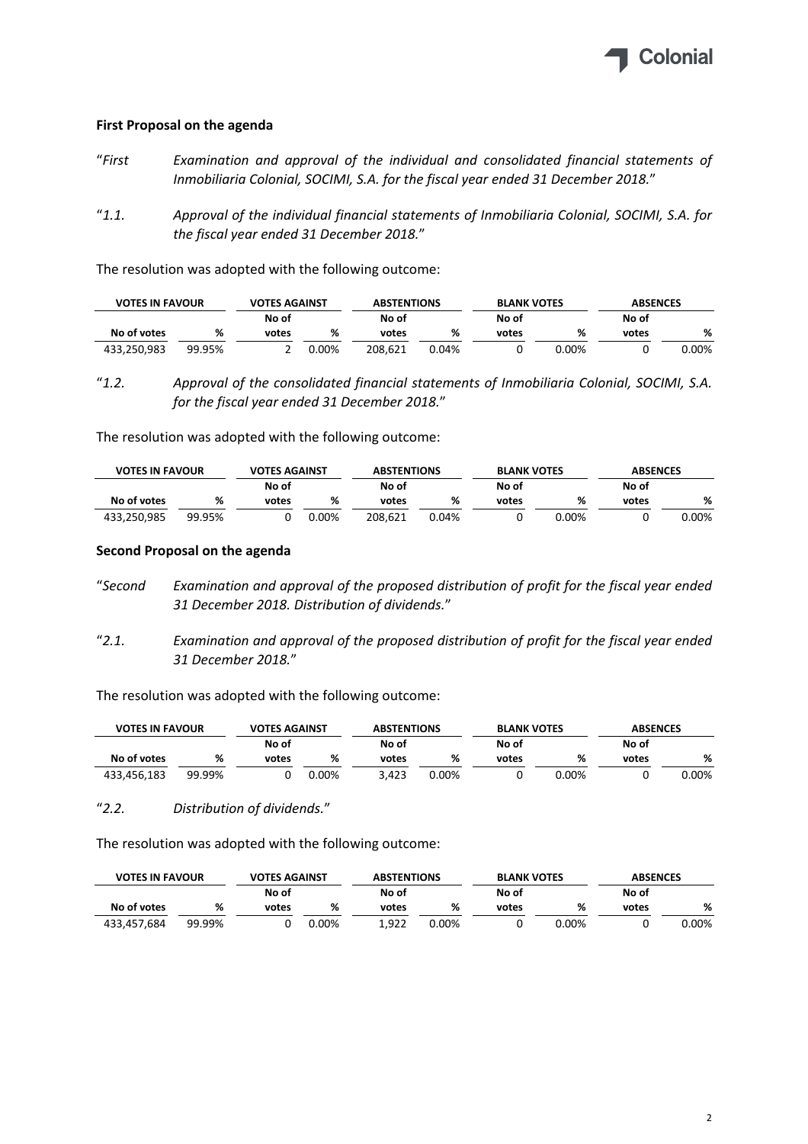

# **First Proposal on the agenda**

- "*First Examination and approval of the individual and consolidated financial statements of Inmobiliaria Colonial, SOCIMI, S.A. for the fiscal year ended 31 December 2018.*"
- "*1.1. Approval of the individual financial statements of Inmobiliaria Colonial, SOCIMI, S.A. for the fiscal year ended 31 December 2018.*"

The resolution was adopted with the following outcome:

| <b>VOTES IN FAVOUR</b> |        | <b>VOTES AGAINST</b> |       | <b>ABSTENTIONS</b> |       | <b>BLANK VOTES</b> |       | <b>ABSENCES</b> |       |
|------------------------|--------|----------------------|-------|--------------------|-------|--------------------|-------|-----------------|-------|
|                        |        | No of                |       | No of              |       | No of              |       | No of           |       |
| No of votes            | %      | votes                | %     | votes              | %     | votes              | %     | votes           | %     |
| 433.250.983            | 99.95% |                      | 0.00% | 208.621            | 0.04% |                    | 0.00% |                 | 0.00% |

<sup>&</sup>quot;*1.2. Approval of the consolidated financial statements of Inmobiliaria Colonial, SOCIMI, S.A. for the fiscal year ended 31 December 2018.*"

The resolution was adopted with the following outcome:

|             | <b>VOTES AGAINST</b><br><b>VOTES IN FAVOUR</b> |       |          | <b>ABSTENTIONS</b> |       | <b>BLANK VOTES</b> |          | <b>ABSENCES</b> |       |
|-------------|------------------------------------------------|-------|----------|--------------------|-------|--------------------|----------|-----------------|-------|
|             |                                                | No of |          | No of              |       | No of              |          | No of           |       |
| No of votes | %                                              | votes | %        | votes              | %     | votes              | %        | votes           | %     |
| 433,250,985 | 99.95%                                         |       | $0.00\%$ | 208.621            | 0.04% |                    | $0.00\%$ |                 | 0.00% |

### **Second Proposal on the agenda**

- "*Second Examination and approval of the proposed distribution of profit for the fiscal year ended 31 December 2018. Distribution of dividends.*"
- "*2.1. Examination and approval of the proposed distribution of profit for the fiscal year ended 31 December 2018.*"

The resolution was adopted with the following outcome:

| <b>VOTES IN FAVOUR</b> |        | <b>VOTES AGAINST</b> |       |       | <b>ABSTENTIONS</b> |       | <b>BLANK VOTES</b> | <b>ABSENCES</b> |          |  |
|------------------------|--------|----------------------|-------|-------|--------------------|-------|--------------------|-----------------|----------|--|
|                        |        | No of                |       | No of |                    | No of |                    | No of           |          |  |
| No of votes            | %      | votes                | %     | votes | %                  | votes | %                  | votes           | %        |  |
| 433,456,183            | 99.99% |                      | 0.00% | 3.423 | $0.00\%$           |       | $0.00\%$           |                 | $0.00\%$ |  |

"*2.2. Distribution of dividends.*"

The resolution was adopted with the following outcome:

|             | <b>VOTES IN FAVOUR</b> |                | <b>VOTES AGAINST</b> |       | <b>ABSTENTIONS</b> |       | <b>BLANK VOTES</b> | <b>ABSENCES</b> |       |  |
|-------------|------------------------|----------------|----------------------|-------|--------------------|-------|--------------------|-----------------|-------|--|
|             |                        | No of<br>No of |                      | No of |                    | No of |                    |                 |       |  |
| No of votes | %                      | votes          | %                    | votes | %                  | votes | %                  | votes           | %     |  |
| 433,457,684 | 99.99%                 |                | $0.00\%$             | 1.922 | 0.00%              |       | $0.00\%$           |                 | 0.00% |  |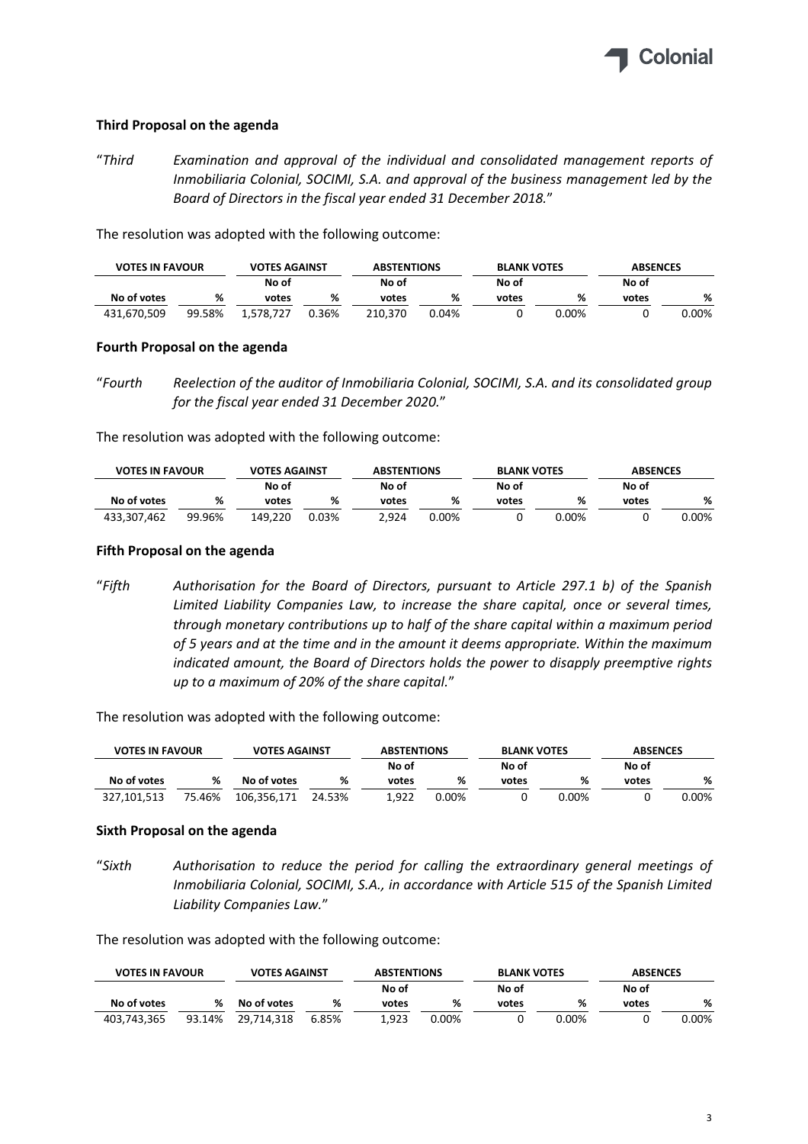

# **Third Proposal on the agenda**

"*Third Examination and approval of the individual and consolidated management reports of Inmobiliaria Colonial, SOCIMI, S.A. and approval of the business management led by the Board of Directors in the fiscal year ended 31 December 2018.*"

The resolution was adopted with the following outcome:

| <b>VOTES IN FAVOUR</b> |        | <b>VOTES AGAINST</b> |       | <b>ABSTENTIONS</b> |       | <b>BLANK VOTES</b> |       | <b>ABSENCES</b> |       |
|------------------------|--------|----------------------|-------|--------------------|-------|--------------------|-------|-----------------|-------|
|                        |        | No of                |       | No of              |       | No of              |       | No of           |       |
| No of votes            | %      | votes                | %     | votes              | %     | votes              | %     | votes           | %     |
| 431.670.509            | 99.58% | 1.578.727            | 0.36% | 210.370            | 0.04% |                    | 0.00% |                 | 0.00% |

### **Fourth Proposal on the agenda**

The resolution was adopted with the following outcome:

| <b>VOTES IN FAVOUR</b> |        | <b>VOTES AGAINST</b> |       | <b>ABSTENTIONS</b> |       | <b>BLANK VOTES</b> |          | <b>ABSENCES</b> |          |
|------------------------|--------|----------------------|-------|--------------------|-------|--------------------|----------|-----------------|----------|
|                        |        | No of                |       | No of              |       | No of              |          | No of           |          |
| No of votes            | %      | votes                | %     | votes              | %     | votes              | %        | votes           | %        |
| 433,307,462            | 99.96% | 149.220              | 0.03% | 2.924              | 0.00% |                    | $0.00\%$ |                 | $0.00\%$ |

# **Fifth Proposal on the agenda**

"*Fifth Authorisation for the Board of Directors, pursuant to Article 297.1 b) of the Spanish Limited Liability Companies Law, to increase the share capital, once or several times, through monetary contributions up to half of the share capital within a maximum period of 5 years and at the time and in the amount it deems appropriate. Within the maximum indicated amount, the Board of Directors holds the power to disapply preemptive rights up to a maximum of 20% of the share capital.*"

The resolution was adopted with the following outcome:

| <b>VOTES IN FAVOUR</b> |        | <b>VOTES AGAINST</b> |        | <b>ABSTENTIONS</b> |          | <b>BLANK VOTES</b> |       | <b>ABSENCES</b> |       |
|------------------------|--------|----------------------|--------|--------------------|----------|--------------------|-------|-----------------|-------|
|                        |        |                      |        | No of              |          | No of              |       | No of           |       |
| No of votes            | %      | No of votes          | %      | votes              | %        | votes              | %     | votes           | %     |
| 327.101.513            | 75.46% | 106.356.171          | 24.53% | 922                | $0.00\%$ |                    | 0.00% |                 | 0.00% |

# **Sixth Proposal on the agenda**

"*Sixth Authorisation to reduce the period for calling the extraordinary general meetings of Inmobiliaria Colonial, SOCIMI, S.A., in accordance with Article 515 of the Spanish Limited Liability Companies Law.*"

The resolution was adopted with the following outcome:

| <b>VOTES IN FAVOUR</b> |        | <b>VOTES AGAINST</b> |       | <b>ABSTENTIONS</b> |       | <b>BLANK VOTES</b> |          | <b>ABSENCES</b> |       |  |
|------------------------|--------|----------------------|-------|--------------------|-------|--------------------|----------|-----------------|-------|--|
|                        |        |                      |       | No of              |       | No of              |          | No of           |       |  |
| No of votes            | %      | No of votes          | %     | votes              | %     | votes              | %        | votes           | %     |  |
| 403,743,365            | 93.14% | 29.714.318           | 6.85% | 1.923              | 0.00% |                    | $0.00\%$ |                 | 0.00% |  |

<sup>&</sup>quot;*Fourth Reelection of the auditor of Inmobiliaria Colonial, SOCIMI, S.A. and its consolidated group for the fiscal year ended 31 December 2020.*"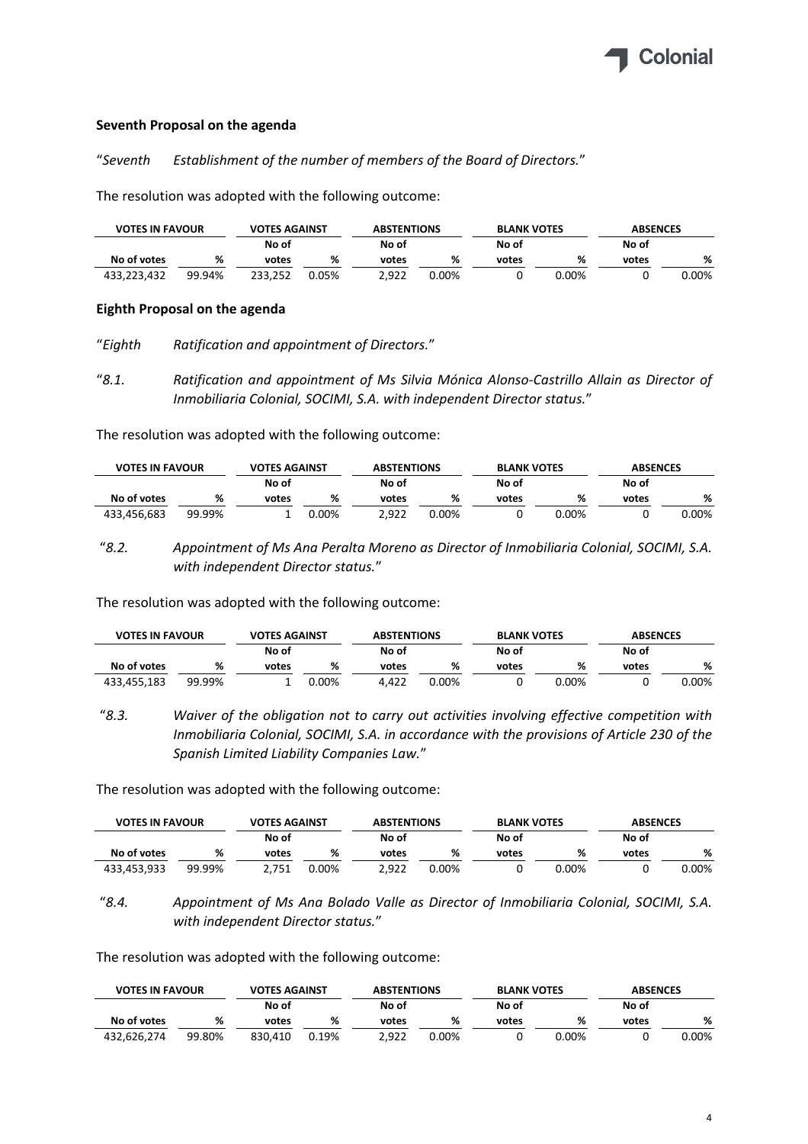

# **Seventh Proposal on the agenda**

"*Seventh Establishment of the number of members of the Board of Directors.*"

The resolution was adopted with the following outcome:

| <b>VOTES IN FAVOUR</b> |        | <b>VOTES AGAINST</b> |       | <b>ABSTENTIONS</b> |          | <b>BLANK VOTES</b> |          | <b>ABSENCES</b> |       |
|------------------------|--------|----------------------|-------|--------------------|----------|--------------------|----------|-----------------|-------|
|                        |        | No of                |       | No of              |          | No of              |          | No of           |       |
| No of votes            | %      | votes                | %     | votes              | %        | votes              | ℅        | votes           | %     |
| 433.223.432            | 99.94% | 233.252              | 0.05% | 2.922              | $0.00\%$ |                    | $0.00\%$ |                 | 0.00% |

# **Eighth Proposal on the agenda**

"*Eighth Ratification and appointment of Directors.*"

"*8.1. Ratification and appointment of Ms Silvia Mónica Alonso‐Castrillo Allain as Director of Inmobiliaria Colonial, SOCIMI, S.A. with independent Director status.*"

The resolution was adopted with the following outcome:

| <b>VOTES IN FAVOUR</b> |        | <b>VOTES AGAINST</b> |       | <b>ABSTENTIONS</b> |       | <b>BLANK VOTES</b> |       | <b>ABSENCES</b> |       |
|------------------------|--------|----------------------|-------|--------------------|-------|--------------------|-------|-----------------|-------|
|                        |        | No of                |       | No of              |       | No of              |       | No of           |       |
| No of votes            | %      | votes                | %     | votes              | %     | votes              | %     | votes           | %     |
| 433.456.683            | 99.99% |                      | 0.00% | 2.922              | 0.00% |                    | 0.00% |                 | 0.00% |

 "*8.2. Appointment of Ms Ana Peralta Moreno as Director of Inmobiliaria Colonial, SOCIMI, S.A. with independent Director status.*"

The resolution was adopted with the following outcome:

| <b>VOTES IN FAVOUR</b> |        | <b>VOTES AGAINST</b> |          | <b>ABSTENTIONS</b> |          | <b>BLANK VOTES</b> |       | <b>ABSENCES</b> |      |
|------------------------|--------|----------------------|----------|--------------------|----------|--------------------|-------|-----------------|------|
|                        |        | No of                |          | No of              |          | No of              |       | No of           |      |
| No of votes            | %      | votes                | %        | votes              | %        | votes              | %     | votes           | %    |
| 433,455,183            | 99.99% |                      | $0.00\%$ | 4.422              | $0.00\%$ |                    | 0.00% |                 | 00%، |

 "*8.3. Waiver of the obligation not to carry out activities involving effective competition with Inmobiliaria Colonial, SOCIMI, S.A. in accordance with the provisions of Article 230 of the Spanish Limited Liability Companies Law.*"

The resolution was adopted with the following outcome:

| <b>VOTES IN FAVOUR</b> |        | <b>VOTES AGAINST</b> |       |       | <b>ABSTENTIONS</b><br><b>BLANK VOTES</b> |       |          | <b>ABSENCES</b> |       |
|------------------------|--------|----------------------|-------|-------|------------------------------------------|-------|----------|-----------------|-------|
|                        |        | No of                |       | No of |                                          | No of |          | No of           |       |
| No of votes            | %      | votes                | %     | votes | %                                        | votes | %        | votes           | %     |
| 433,453,933            | 99.99% | 2.751                | 0.00% | 2.922 | $0.00\%$                                 |       | $0.00\%$ |                 | 0.00% |

 "*8.4. Appointment of Ms Ana Bolado Valle as Director of Inmobiliaria Colonial, SOCIMI, S.A. with independent Director status.*"

The resolution was adopted with the following outcome:

| <b>VOTES IN FAVOUR</b> |        |         | <b>VOTES AGAINST</b><br><b>ABSTENTIONS</b> |       |          | <b>BLANK VOTES</b> |          | <b>ABSENCES</b> |       |
|------------------------|--------|---------|--------------------------------------------|-------|----------|--------------------|----------|-----------------|-------|
|                        |        | No of   |                                            | No of |          | No of              |          | No of           |       |
| No of votes            | %      | votes   | %                                          | votes | %        | votes              | %        | votes           | %     |
| 432.626.274            | 99.80% | 830.410 | 0.19%                                      | 2.922 | $0.00\%$ |                    | $0.00\%$ |                 | 0.00% |